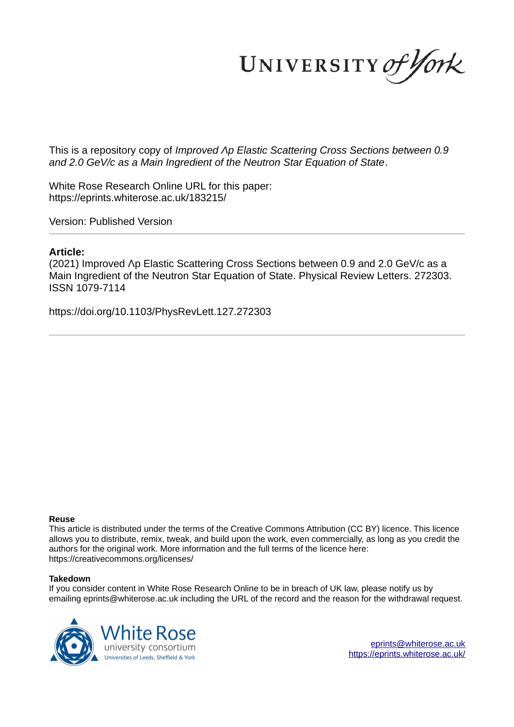UNIVERSITY of York

This is a repository copy of *Improved Λp Elastic Scattering Cross Sections between 0.9 and 2.0 GeV/c as a Main Ingredient of the Neutron Star Equation of State*.

White Rose Research Online URL for this paper: https://eprints.whiterose.ac.uk/183215/

Version: Published Version

## **Article:**

(2021) Improved Λp Elastic Scattering Cross Sections between 0.9 and 2.0 GeV/c as a Main Ingredient of the Neutron Star Equation of State. Physical Review Letters. 272303. ISSN 1079-7114

https://doi.org/10.1103/PhysRevLett.127.272303

## **Reuse**

This article is distributed under the terms of the Creative Commons Attribution (CC BY) licence. This licence allows you to distribute, remix, tweak, and build upon the work, even commercially, as long as you credit the authors for the original work. More information and the full terms of the licence here: https://creativecommons.org/licenses/

## **Takedown**

If you consider content in White Rose Research Online to be in breach of UK law, please notify us by emailing eprints@whiterose.ac.uk including the URL of the record and the reason for the withdrawal request.

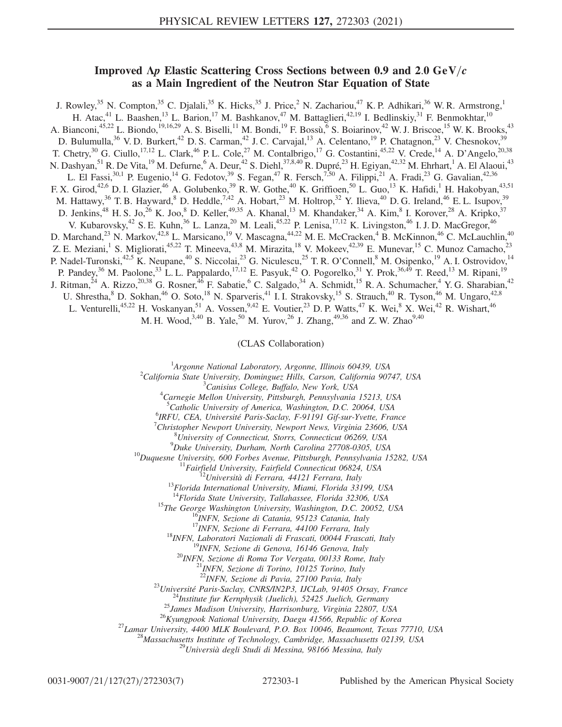## Improved  $\Delta p$  Elastic Scattering Cross Sections between 0.9 and 2.0 GeV/c as a Main Ingredient of the Neutron Star Equation of State

J. Rowley,<sup>35</sup> N. Compton,<sup>35</sup> C. Djalali,<sup>35</sup> K. Hicks,<sup>35</sup> J. Price,<sup>2</sup> N. Zachariou,<sup>47</sup> K. P. Adhikari,<sup>36</sup> W. R. Armstrong,<sup>1</sup> H. Atac,<sup>41</sup> L. Baashen,<sup>13</sup> L. Barion,<sup>17</sup> M. Bashkanov,<sup>47</sup> M. Battaglieri,<sup>42,19</sup> I. Bedlinskiy,<sup>31</sup> F. Benmokhtar,<sup>10</sup> A. Bianconi,<sup>45,22</sup> L. Biondo,<sup>19,16,29</sup> A. S. Biselli,<sup>11</sup> M. Bondi,<sup>19</sup> F. Bossù,<sup>6</sup> S. Boiarinov,<sup>42</sup> W. J. Briscoe,<sup>15</sup> W. K. Brooks,<sup>43</sup> D. Bulumulla,<sup>36</sup> V. D. Burkert,<sup>42</sup> D. S. Carman,<sup>42</sup> J. C. Carvajal,<sup>13</sup> A. Celentano,<sup>19</sup> P. Chatagnon,<sup>23</sup> V. Chesnokov,<sup>39</sup> T. Chetry,<sup>30</sup> G. Ciullo,<sup>17,12</sup> L. Clark,<sup>46</sup> P. L. Cole,<sup>27</sup> M. Contalbrigo,<sup>17</sup> G. Costantini,<sup>45,22</sup> V. Crede,<sup>14</sup> A. D'Angelo,<sup>20,38</sup> N. Dashyan,<sup>51</sup> R. De Vita,<sup>19</sup> M. Defurne,<sup>6</sup> A. Deur,<sup>42</sup> S. Diehl,<sup>37,8,40</sup> R. Dupré,<sup>23</sup> H. Egiyan,<sup>42,32</sup> M. Ehrhart,<sup>1</sup> A. El Alaoui,<sup>43</sup> L. El Fassi,<sup>30,1</sup> P. Eugenio,<sup>14</sup> G. Fedotov,<sup>39</sup> S. Fegan,<sup>47</sup> R. Fersch,<sup>7,50</sup> A. Filippi,<sup>21</sup> A. Fradi,<sup>23</sup> G. Gavalian,<sup>42,36</sup> F. X. Girod,<sup>42,6</sup> D. I. Glazier,<sup>46</sup> A. Golubenko,<sup>39</sup> R. W. Gothe,<sup>40</sup> K. Griffioen,<sup>50</sup> L. Guo,<sup>13</sup> K. Hafidi,<sup>1</sup> H. Hakobyan,<sup>43,51</sup> M. Hattawy,  $36$  T. B. Hayward,  $8$  D. Heddle,  $7.42$  A. Hobart,  $23$  M. Holtrop,  $32$  Y. Ilieva,  $40$  D. G. Ireland,  $46$  E. L. Isupov,  $39$ D. Jenkins,<sup>48</sup> H. S. Jo,<sup>26</sup> K. Joo,<sup>8</sup> D. Keller,<sup>49,35</sup> A. Khanal,<sup>13</sup> M. Khandaker,<sup>34</sup> A. Kim,<sup>8</sup> I. Korover,<sup>28</sup> A. Kripko,<sup>37</sup> V. Kubarovsky,<sup>42</sup> S. E. Kuhn,<sup>36</sup> L. Lanza,<sup>20</sup> M. Leali,<sup>45,22</sup> P. Lenisa,<sup>17,12</sup> K. Livingston,<sup>46</sup> I. J. D. MacGregor,<sup>46</sup> D. Marchand,<sup>23</sup> N. Markov,<sup>42,8</sup> L. Marsicano,<sup>19</sup> V. Mascagna,<sup>44,22</sup> M. E. McCracken,<sup>4</sup> B. McKinnon,<sup>46</sup> C. McLauchlin,<sup>40</sup> Z. E. Meziani, <sup>1</sup> S. Migliorati, <sup>45,22</sup> T. Mineeva, <sup>43,8</sup> M. Mirazita, <sup>18</sup> V. Mokeev, <sup>42,39</sup> E. Munevar, <sup>15</sup> C. Munoz Camacho, <sup>23</sup> P. Nadel-Turonski,<sup>42,5</sup> K. Neupane,<sup>40</sup> S. Niccolai,<sup>23</sup> G. Niculescu,<sup>25</sup> T. R. O'Connell,<sup>8</sup> M. Osipenko,<sup>19</sup> A. I. Ostrovidov,<sup>14</sup> P. Pandey,<sup>36</sup> M. Paolone,<sup>33</sup> L. L. Pappalardo,<sup>17,12</sup> E. Pasyuk,<sup>42</sup> O. Pogorelko,<sup>31</sup> Y. Prok,<sup>36,49</sup> T. Reed,<sup>13</sup> M. Ripani,<sup>19</sup> J. Ritman,<sup>24</sup> A. Rizzo,<sup>20,38</sup> G. Rosner,<sup>46</sup> F. Sabatie,<sup>6</sup> C. Salgado,<sup>34</sup> A. Schmidt,<sup>15</sup> R. A. Schumacher,<sup>4</sup> Y. G. Sharabian,<sup>42</sup> U. Shrestha,  $8$  D. Sokhan,  $46$  O. Soto,  $18$  N. Sparveris,  $41$  I. I. Strakovsky,  $15$  S. Strauch,  $40$  R. Tyson,  $46$  M. Ungaro,  $42.8$ L. Venturelli,<sup>45,22</sup> H. Voskanyan,<sup>51</sup> A. Vossen,<sup>9,42</sup> E. Voutier,<sup>23</sup> D. P. Watts,<sup>47</sup> K. Wei,<sup>8</sup> X. Wei,<sup>42</sup> R. Wishart,<sup>46</sup> M. H. Wood,  $3,40$  B. Yale,  $50$  M. Yurov,  $26$  J. Zhang,  $49,36$  and Z. W. Zhao $9,40$ 

(CLAS Collaboration)

<sup>1</sup>Argonne National Laboratory, Argonne, Illinois 60439, USA

 $^{2}$ California State University, Dominguez Hills, Carson, California 90747, USA

 ${}^{3}$ Canisius College, Buffalo, New York, USA

<sup>4</sup>Carnegie Mellon University, Pittsburgh, Pennsylvania 15213, USA

<sup>5</sup>Catholic University of America, Washington, D.C. 20064, USA

<sup>6</sup>IRFU, CEA, Université Paris-Saclay, F-91191 Gif-sur-Yvette, France

 $^{7}$ Christopher Newport University, Newport News, Virginia 23606, USA

 ${}^{8}$ University of Connecticut, Storrs, Connecticut 06269, USA

 $^{9}$ Duke University, Durham, North Carolina 27708-0305, USA

 $^{10}$ Duquesne University, 600 Forbes Avenue, Pittsburgh, Pennsylvania 15282, USA

 $11$ Fairfield University, Fairfield Connecticut 06824, USA

 $12$ Università di Ferrara, 44121 Ferrara, Italy

<sup>13</sup>Florida International University, Miami, Florida 33199, USA

 $14$ Florida State University, Tallahassee, Florida 32306, USA

<sup>15</sup>The George Washington University, Washington, D.C. 20052, USA

<sup>16</sup>INFN, Sezione di Catania, 95123 Catania, Italy

<sup>17</sup>INFN, Sezione di Ferrara, 44100 Ferrara, Italy

<sup>18</sup>INFN, Laboratori Nazionali di Frascati, 00044 Frascati, Italy

<sup>19</sup>INFN, Sezione di Genova, 16146 Genova, Italy

 $^{20}$ INFN, Sezione di Roma Tor Vergata, 00133 Rome, Italy

<sup>21</sup>INFN, Sezione di Torino, 10125 Torino, Italy

<sup>22</sup>INFN, Sezione di Pavia, 27100 Pavia, Italy

<sup>23</sup>Université Paris-Saclay, CNRS/IN2P3, IJCLab, 91405 Orsay, France

 $^{24}$ Institute fur Kernphysik (Juelich), 52425 Juelich, Germany

<sup>25</sup>James Madison University, Harrisonburg, Virginia 22807, USA

 $^{26}$ Kyungpook National University, Daegu 41566, Republic of Korea

<sup>27</sup>Lamar University, 4400 MLK Boulevard, P.O. Box 10046, Beaumont, Texas 77710, USA

 $^{28}$ Massachusetts Institute of Technology, Cambridge, Massachusetts 02139, USA

<sup>29</sup>Universià degli Studi di Messina, 98166 Messina, Italy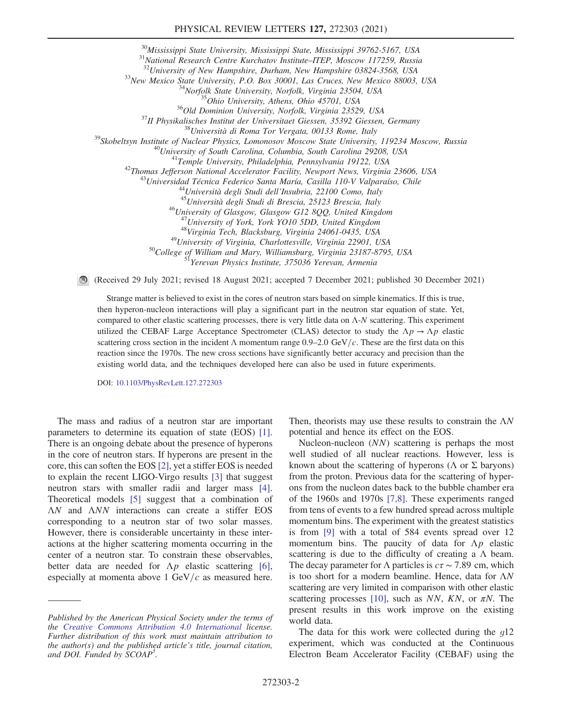<sup>30</sup>Mississippi State University, Mississippi State, Mississippi 39762-5167, USA

<sup>31</sup>National Research Centre Kurchatov Institute–ITEP, Moscow 117259, Russia

 $32$ University of New Hampshire, Durham, New Hampshire 03824-3568, USA

<sup>33</sup>New Mexico State University, P.O. Box 30001, Las Cruces, New Mexico 88003, USA

<sup>34</sup>Norfolk State University, Norfolk, Virginia 23504, USA

<sup>35</sup>Ohio University, Athens, Ohio 45701, USA

<sup>36</sup>Old Dominion University, Norfolk, Virginia 23529, USA

 $37$ II Physikalisches Institut der Universitaet Giessen, 35392 Giessen, Germany

 $38$ Università di Roma Tor Vergata, 00133 Rome, Italy

<sup>39</sup>Skobeltsyn Institute of Nuclear Physics, Lomonosov Moscow State University, 119234 Moscow, Russia

<sup>40</sup>University of South Carolina, Columbia, South Carolina 29208, USA

<sup>41</sup>Temple University, Philadelphia, Pennsylvania 19122, USA

<sup>42</sup>Thomas Jefferson National Accelerator Facility, Newport News, Virginia 23606, USA

<sup>13</sup>Universidad Técnica Federico Santa María, Casilla 110-V Valparaíso, Chile

<sup>44</sup>Università degli Studi dell'Insubria, 22100 Como, Italy

<sup>45</sup>Università degli Studi di Brescia, 25123 Brescia, Italy

<sup>46</sup>University of Glasgow, Glasgow G12 8QQ, United Kingdom

<sup>47</sup>University of York, York YO10 5DD, United Kingdom

<sup>48</sup>Virginia Tech, Blacksburg, Virginia 24061-0435, USA

<sup>49</sup>University of Virginia, Charlottesville, Virginia 22901, USA

<sup>50</sup>College of William and Mary, Williamsburg, Virginia 23187-8795, USA

<sup>51</sup>Yerevan Physics Institute, 375036 Yerevan, Armenia

(Received 29 July 2021; revised 18 August 2021; accepted 7 December 2021; published 30 December 2021)

Strange matter is believed to exist in the cores of neutron stars based on simple kinematics. If this is true, then hyperon-nucleon interactions will play a significant part in the neutron star equation of state. Yet, compared to other elastic scattering processes, there is very little data on Λ-N scattering. This experiment utilized the CEBAF Large Acceptance Spectrometer (CLAS) detector to study the  $\Lambda p \to \Lambda p$  elastic scattering cross section in the incident  $\Lambda$  momentum range 0.9–2.0 GeV/c. These are the first data on this reaction since the 1970s. The new cross sections have significantly better accuracy and precision than the existing world data, and the techniques developed here can also be used in future experiments.

DOI: 10.1103/PhysRevLett.127.272303

The mass and radius of a neutron star are important parameters to determine its equation of state (EOS) [1]. There is an ongoing debate about the presence of hyperons in the core of neutron stars. If hyperons are present in the core, this can soften the EOS [2], yet a stiffer EOS is needed to explain the recent LIGO-Virgo results [3] that suggest neutron stars with smaller radii and larger mass [4]. Theoretical models [5] suggest that a combination of ΛN and ΛNN interactions can create a stiffer EOS corresponding to a neutron star of two solar masses. However, there is considerable uncertainty in these interactions at the higher scattering momenta occurring in the center of a neutron star. To constrain these observables, better data are needed for  $\Lambda p$  elastic scattering [6], especially at momenta above 1 GeV/ $c$  as measured here. Then, theorists may use these results to constrain the ΛN potential and hence its effect on the EOS.

Nucleon-nucleon (NN) scattering is perhaps the most well studied of all nuclear reactions. However, less is known about the scattering of hyperons ( $\Lambda$  or  $\Sigma$  baryons) from the proton. Previous data for the scattering of hyperons from the nucleon dates back to the bubble chamber era of the 1960s and 1970s [7,8]. These experiments ranged from tens of events to a few hundred spread across multiple momentum bins. The experiment with the greatest statistics is from [9] with a total of 584 events spread over 12 momentum bins. The paucity of data for  $\Lambda p$  elastic scattering is due to the difficulty of creating a  $\Lambda$  beam. The decay parameter for  $\Lambda$  particles is  $c\tau \sim 7.89$  cm, which is too short for a modern beamline. Hence, data for ΛN scattering are very limited in comparison with other elastic scattering processes [10], such as NN, KN, or  $\pi N$ . The present results in this work improve on the existing world data.

The data for this work were collected during the  $q12$ experiment, which was conducted at the Continuous Electron Beam Accelerator Facility (CEBAF) using the

Published by the American Physical Society under the terms of the Creative Commons Attribution 4.0 International license. Further distribution of this work must maintain attribution to the author(s) and the published article's title, journal citation, and DOI. Funded by SCOAP<sup>3</sup>.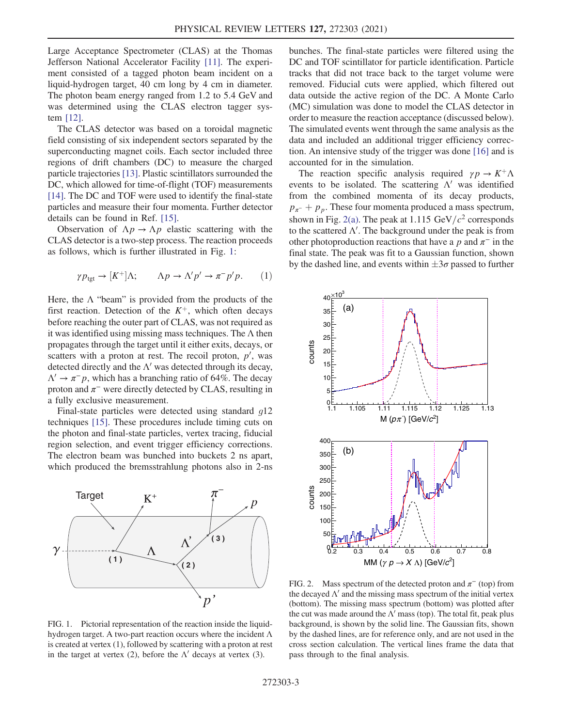Large Acceptance Spectrometer (CLAS) at the Thomas Jefferson National Accelerator Facility [11]. The experiment consisted of a tagged photon beam incident on a liquid-hydrogen target, 40 cm long by 4 cm in diameter. The photon beam energy ranged from 1.2 to 5.4 GeV and was determined using the CLAS electron tagger system [12].

The CLAS detector was based on a toroidal magnetic field consisting of six independent sectors separated by the superconducting magnet coils. Each sector included three regions of drift chambers (DC) to measure the charged particle trajectories [13]. Plastic scintillators surrounded the DC, which allowed for time-of-flight (TOF) measurements [14]. The DC and TOF were used to identify the final-state particles and measure their four momenta. Further detector details can be found in Ref. [15].

Observation of  $\Lambda p \to \Lambda p$  elastic scattering with the CLAS detector is a two-step process. The reaction proceeds as follows, which is further illustrated in Fig. 1:

$$
\gamma p_{\text{tgt}} \to [K^+] \Lambda; \qquad \Lambda p \to \Lambda' p' \to \pi^- p' p. \tag{1}
$$

Here, the  $\Lambda$  "beam" is provided from the products of the first reaction. Detection of the  $K^+$ , which often decays before reaching the outer part of CLAS, was not required as it was identified using missing mass techniques. The  $\Lambda$  then propagates through the target until it either exits, decays, or scatters with a proton at rest. The recoil proton,  $p'$ , was detected directly and the  $\Lambda'$  was detected through its decay,  $\Lambda' \rightarrow \pi^- p$ , which has a branching ratio of 64%. The decay proton and  $\pi^-$  were directly detected by CLAS, resulting in a fully exclusive measurement.

Final-state particles were detected using standard  $q12$ techniques [15]. These procedures include timing cuts on the photon and final-state particles, vertex tracing, fiducial region selection, and event trigger efficiency corrections. The electron beam was bunched into buckets 2 ns apart, which produced the bremsstrahlung photons also in 2-ns



FIG. 1. Pictorial representation of the reaction inside the liquidhydrogen target. A two-part reaction occurs where the incident Λ is created at vertex (1), followed by scattering with a proton at rest in the target at vertex (2), before the  $\Lambda'$  decays at vertex (3).

bunches. The final-state particles were filtered using the DC and TOF scintillator for particle identification. Particle tracks that did not trace back to the target volume were removed. Fiducial cuts were applied, which filtered out data outside the active region of the DC. A Monte Carlo (MC) simulation was done to model the CLAS detector in order to measure the reaction acceptance (discussed below). The simulated events went through the same analysis as the data and included an additional trigger efficiency correction. An intensive study of the trigger was done [16] and is accounted for in the simulation.

The reaction specific analysis required  $\gamma p \to K^+ \Lambda$ events to be isolated. The scattering  $\Lambda'$  was identified from the combined momenta of its decay products,  $p_{\pi}$  +  $p_p$ . These four momenta produced a mass spectrum, shown in Fig. 2(a). The peak at  $1.115 \text{ GeV}/c^2$  corresponds to the scattered  $\Lambda'$ . The background under the peak is from other photoproduction reactions that have a p and  $\pi^-$  in the final state. The peak was fit to a Gaussian function, shown by the dashed line, and events within  $\pm 3\sigma$  passed to further



FIG. 2. Mass spectrum of the detected proton and  $\pi^{-}$  (top) from the decayed  $\Lambda'$  and the missing mass spectrum of the initial vertex (bottom). The missing mass spectrum (bottom) was plotted after the cut was made around the  $\Lambda'$  mass (top). The total fit, peak plus background, is shown by the solid line. The Gaussian fits, shown by the dashed lines, are for reference only, and are not used in the cross section calculation. The vertical lines frame the data that pass through to the final analysis.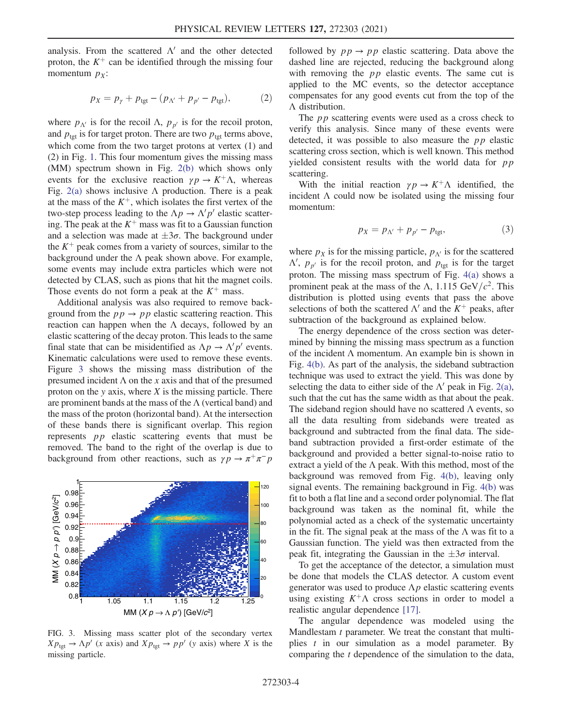analysis. From the scattered  $\Lambda'$  and the other detected proton, the  $K^+$  can be identified through the missing four momentum  $p<sub>x</sub>$ :

$$
p_X = p_\gamma + p_{\text{tgt}} - (p_{\Lambda'} + p_{p'} - p_{\text{tgt}}),\tag{2}
$$

where  $p_{\Lambda'}$  is for the recoil  $\Lambda$ ,  $p_{p'}$  is for the recoil proton, and  $p_{\text{tgt}}$  is for target proton. There are two  $p_{\text{tgt}}$  terms above, which come from the two target protons at vertex (1) and (2) in Fig. 1. This four momentum gives the missing mass (MM) spectrum shown in Fig. 2(b) which shows only events for the exclusive reaction  $\gamma p \to K^+ \Lambda$ , whereas Fig. 2(a) shows inclusive  $\Lambda$  production. There is a peak at the mass of the  $K^+$ , which isolates the first vertex of the two-step process leading to the  $\Lambda p \to \Lambda' p'$  elastic scattering. The peak at the  $K^+$  mass was fit to a Gaussian function and a selection was made at  $\pm 3\sigma$ . The background under the  $K^+$  peak comes from a variety of sources, similar to the background under the  $\Lambda$  peak shown above. For example, some events may include extra particles which were not detected by CLAS, such as pions that hit the magnet coils. Those events do not form a peak at the  $K^+$  mass.

Additional analysis was also required to remove background from the  $pp \rightarrow pp$  elastic scattering reaction. This reaction can happen when the  $\Lambda$  decays, followed by an elastic scattering of the decay proton. This leads to the same final state that can be misidentified as  $\Lambda p \to \Lambda' p'$  events. Kinematic calculations were used to remove these events. Figure 3 shows the missing mass distribution of the presumed incident  $\Lambda$  on the x axis and that of the presumed proton on the y axis, where  $X$  is the missing particle. There are prominent bands at the mass of the  $\Lambda$  (vertical band) and the mass of the proton (horizontal band). At the intersection of these bands there is significant overlap. This region represents pp elastic scattering events that must be removed. The band to the right of the overlap is due to background from other reactions, such as  $\gamma \vec{p} \rightarrow \pi^+ \pi^- \vec{p}$ 



FIG. 3. Missing mass scatter plot of the secondary vertex  $Xp_{\text{tgt}} \to \Lambda p'$  (x axis) and  $Xp_{\text{tgt}} \to pp'$  (y axis) where X is the missing particle.

followed by  $pp \rightarrow pp$  elastic scattering. Data above the dashed line are rejected, reducing the background along with removing the  $pp$  elastic events. The same cut is applied to the MC events, so the detector acceptance compensates for any good events cut from the top of the Λ distribution.

The *pp* scattering events were used as a cross check to verify this analysis. Since many of these events were detected, it was possible to also measure the pp elastic scattering cross section, which is well known. This method yielded consistent results with the world data for pp scattering.

With the initial reaction  $\gamma p \to K^+ \Lambda$  identified, the incident  $\Lambda$  could now be isolated using the missing four momentum:

$$
p_X = p_{\Lambda'} + p_{p'} - p_{\text{tgt}},\tag{3}
$$

where  $p_X$  is for the missing particle,  $p_{\Lambda}$  is for the scattered  $\Lambda'$ ,  $p_{p'}$  is for the recoil proton, and  $p_{tgt}$  is for the target proton. The missing mass spectrum of Fig. 4(a) shows a prominent peak at the mass of the  $\Lambda$ , 1.115 GeV/ $c^2$ . This distribution is plotted using events that pass the above selections of both the scattered  $\Lambda'$  and the  $K^+$  peaks, after subtraction of the background as explained below.

The energy dependence of the cross section was determined by binning the missing mass spectrum as a function of the incident  $\Lambda$  momentum. An example bin is shown in Fig. 4(b). As part of the analysis, the sideband subtraction technique was used to extract the yield. This was done by selecting the data to either side of the  $\Lambda'$  peak in Fig. 2(a), such that the cut has the same width as that about the peak. The sideband region should have no scattered  $\Lambda$  events, so all the data resulting from sidebands were treated as background and subtracted from the final data. The sideband subtraction provided a first-order estimate of the background and provided a better signal-to-noise ratio to extract a yield of the  $\Lambda$  peak. With this method, most of the background was removed from Fig. 4(b), leaving only signal events. The remaining background in Fig. 4(b) was fit to both a flat line and a second order polynomial. The flat background was taken as the nominal fit, while the polynomial acted as a check of the systematic uncertainty in the fit. The signal peak at the mass of the  $\Lambda$  was fit to a Gaussian function. The yield was then extracted from the peak fit, integrating the Gaussian in the  $\pm 3\sigma$  interval.

To get the acceptance of the detector, a simulation must be done that models the CLAS detector. A custom event generator was used to produce  $\Lambda p$  elastic scattering events using existing  $K^+\Lambda$  cross sections in order to model a realistic angular dependence [17].

The angular dependence was modeled using the Mandlestam *t* parameter. We treat the constant that multiplies t in our simulation as a model parameter. By comparing the t dependence of the simulation to the data,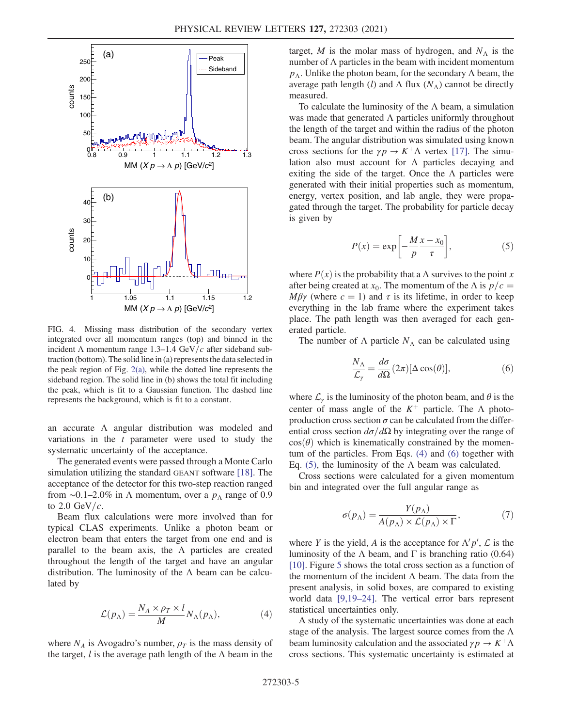

FIG. 4. Missing mass distribution of the secondary vertex integrated over all momentum ranges (top) and binned in the incident  $\Lambda$  momentum range 1.3–1.4 GeV/c after sideband subtraction (bottom). The solid line in (a) represents the data selected in the peak region of Fig. 2(a), while the dotted line represents the sideband region. The solid line in (b) shows the total fit including the peak, which is fit to a Gaussian function. The dashed line represents the background, which is fit to a constant.

an accurate Λ angular distribution was modeled and variations in the  $t$  parameter were used to study the systematic uncertainty of the acceptance.

The generated events were passed through a Monte Carlo simulation utilizing the standard GEANT software [18]. The acceptance of the detector for this two-step reaction ranged from ~0.1–2.0% in  $\Lambda$  momentum, over a  $p_{\Lambda}$  range of 0.9 to  $2.0$  GeV/ $c$ .

Beam flux calculations were more involved than for typical CLAS experiments. Unlike a photon beam or electron beam that enters the target from one end and is parallel to the beam axis, the  $\Lambda$  particles are created throughout the length of the target and have an angular distribution. The luminosity of the  $\Lambda$  beam can be calculated by

$$
\mathcal{L}(p_{\Lambda}) = \frac{N_A \times \rho_T \times l}{M} N_{\Lambda}(p_{\Lambda}), \tag{4}
$$

where  $N_A$  is Avogadro's number,  $\rho_T$  is the mass density of the target,  $l$  is the average path length of the  $\Lambda$  beam in the target, M is the molar mass of hydrogen, and  $N<sub>A</sub>$  is the number of  $\Lambda$  particles in the beam with incident momentum  $p_\Lambda$ . Unlike the photon beam, for the secondary  $\Lambda$  beam, the average path length (l) and  $\Lambda$  flux ( $N_{\Lambda}$ ) cannot be directly measured.

To calculate the luminosity of the  $\Lambda$  beam, a simulation was made that generated  $\Lambda$  particles uniformly throughout the length of the target and within the radius of the photon beam. The angular distribution was simulated using known cross sections for the  $\gamma p \to K^+ \Lambda$  vertex [17]. The simulation also must account for  $\Lambda$  particles decaying and exiting the side of the target. Once the  $\Lambda$  particles were generated with their initial properties such as momentum, energy, vertex position, and lab angle, they were propagated through the target. The probability for particle decay is given by

$$
P(x) = \exp\left[-\frac{M x - x_0}{p}\right],\tag{5}
$$

where  $P(x)$  is the probability that a  $\Lambda$  survives to the point x after being created at  $x_0$ . The momentum of the  $\Lambda$  is  $p/c =$ Mβγ (where  $c = 1$ ) and  $\tau$  is its lifetime, in order to keep everything in the lab frame where the experiment takes place. The path length was then averaged for each generated particle.

The number of  $\Lambda$  particle  $N_{\Lambda}$  can be calculated using

$$
\frac{N_{\Lambda}}{\mathcal{L}_{\gamma}} = \frac{d\sigma}{d\Omega} (2\pi) [\Delta \cos(\theta)],\tag{6}
$$

where  $\mathcal{L}_{\gamma}$  is the luminosity of the photon beam, and  $\theta$  is the center of mass angle of the  $K^+$  particle. The  $\Lambda$  photoproduction cross section  $\sigma$  can be calculated from the differential cross section  $d\sigma/d\Omega$  by integrating over the range of  $cos(\theta)$  which is kinematically constrained by the momentum of the particles. From Eqs. (4) and (6) together with Eq. (5), the luminosity of the  $\Lambda$  beam was calculated.

Cross sections were calculated for a given momentum bin and integrated over the full angular range as

$$
\sigma(p_{\Lambda}) = \frac{Y(p_{\Lambda})}{A(p_{\Lambda}) \times \mathcal{L}(p_{\Lambda}) \times \Gamma},\tag{7}
$$

where Y is the yield, A is the acceptance for  $\Lambda' p'$ ,  $\mathcal L$  is the luminosity of the  $\Lambda$  beam, and  $\Gamma$  is branching ratio (0.64) [10]. Figure 5 shows the total cross section as a function of the momentum of the incident  $\Lambda$  beam. The data from the present analysis, in solid boxes, are compared to existing world data [9,19–24]. The vertical error bars represent statistical uncertainties only.

A study of the systematic uncertainties was done at each stage of the analysis. The largest source comes from the  $\Lambda$ beam luminosity calculation and the associated  $\gamma p \to K^+ \Lambda$ cross sections. This systematic uncertainty is estimated at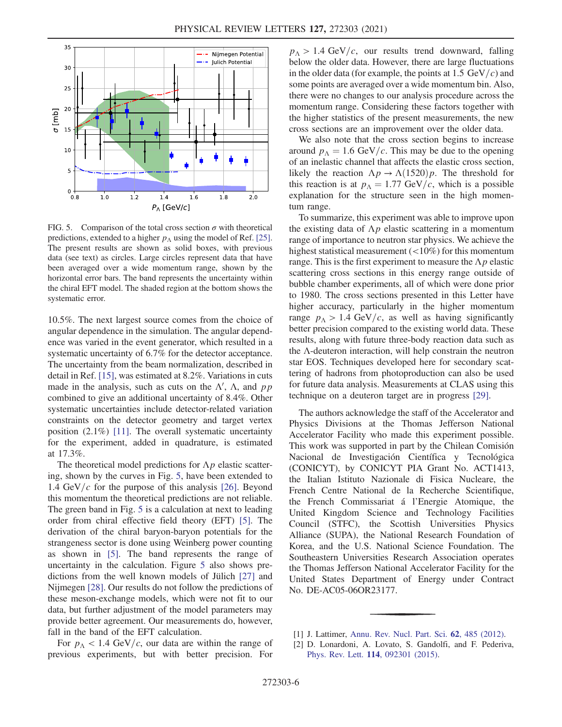

FIG. 5. Comparison of the total cross section  $\sigma$  with theoretical predictions, extended to a higher  $p_\Lambda$  using the model of Ref. [25]. The present results are shown as solid boxes, with previous data (see text) as circles. Large circles represent data that have been averaged over a wide momentum range, shown by the horizontal error bars. The band represents the uncertainty within the chiral EFT model. The shaded region at the bottom shows the systematic error.

10.5%. The next largest source comes from the choice of angular dependence in the simulation. The angular dependence was varied in the event generator, which resulted in a systematic uncertainty of 6.7% for the detector acceptance. The uncertainty from the beam normalization, described in detail in Ref. [15], was estimated at 8.2%. Variations in cuts made in the analysis, such as cuts on the  $\Lambda'$ ,  $\Lambda$ , and pp combined to give an additional uncertainty of 8.4%. Other systematic uncertainties include detector-related variation constraints on the detector geometry and target vertex position (2.1%) [11]. The overall systematic uncertainty for the experiment, added in quadrature, is estimated at 17.3%.

The theoretical model predictions for  $\Lambda p$  elastic scattering, shown by the curves in Fig. 5, have been extended to 1.4 GeV/ $c$  for the purpose of this analysis [26]. Beyond this momentum the theoretical predictions are not reliable. The green band in Fig. 5 is a calculation at next to leading order from chiral effective field theory (EFT) [5]. The derivation of the chiral baryon-baryon potentials for the strangeness sector is done using Weinberg power counting as shown in [5]. The band represents the range of uncertainty in the calculation. Figure 5 also shows predictions from the well known models of Jülich [27] and Nijmegen [28]. Our results do not follow the predictions of these meson-exchange models, which were not fit to our data, but further adjustment of the model parameters may provide better agreement. Our measurements do, however, fall in the band of the EFT calculation.

For  $p_{\Lambda}$  < 1.4 GeV/c, our data are within the range of previous experiments, but with better precision. For

 $p_{\Lambda} > 1.4$  GeV/c, our results trend downward, falling below the older data. However, there are large fluctuations in the older data (for example, the points at 1.5  $GeV/c$ ) and some points are averaged over a wide momentum bin. Also, there were no changes to our analysis procedure across the momentum range. Considering these factors together with the higher statistics of the present measurements, the new cross sections are an improvement over the older data.

We also note that the cross section begins to increase around  $p_A = 1.6$  GeV/c. This may be due to the opening of an inelastic channel that affects the elastic cross section, likely the reaction  $\Lambda p \to \Lambda (1520) p$ . The threshold for this reaction is at  $p_A = 1.77$  GeV/c, which is a possible explanation for the structure seen in the high momentum range.

To summarize, this experiment was able to improve upon the existing data of  $\Lambda p$  elastic scattering in a momentum range of importance to neutron star physics. We achieve the highest statistical measurement (<10%) for this momentum range. This is the first experiment to measure the  $\Lambda p$  elastic scattering cross sections in this energy range outside of bubble chamber experiments, all of which were done prior to 1980. The cross sections presented in this Letter have higher accuracy, particularly in the higher momentum range  $p_A > 1.4$  GeV/c, as well as having significantly better precision compared to the existing world data. These results, along with future three-body reaction data such as the Λ-deuteron interaction, will help constrain the neutron star EOS. Techniques developed here for secondary scattering of hadrons from photoproduction can also be used for future data analysis. Measurements at CLAS using this technique on a deuteron target are in progress [29].

The authors acknowledge the staff of the Accelerator and Physics Divisions at the Thomas Jefferson National Accelerator Facility who made this experiment possible. This work was supported in part by the Chilean Comisión Nacional de Investigación Científica y Tecnológica (CONICYT), by CONICYT PIA Grant No. ACT1413, the Italian Istituto Nazionale di Fisica Nucleare, the French Centre National de la Recherche Scientifique, the French Commissariat á l'Energie Atomique, the United Kingdom Science and Technology Facilities Council (STFC), the Scottish Universities Physics Alliance (SUPA), the National Research Foundation of Korea, and the U.S. National Science Foundation. The Southeastern Universities Research Association operates the Thomas Jefferson National Accelerator Facility for the United States Department of Energy under Contract No. DE-AC05-06OR23177.

- [1] J. Lattimer, Annu. Rev. Nucl. Part. Sci. 62, 485 (2012).
- [2] D. Lonardoni, A. Lovato, S. Gandolfi, and F. Pederiva, Phys. Rev. Lett. 114, 092301 (2015).